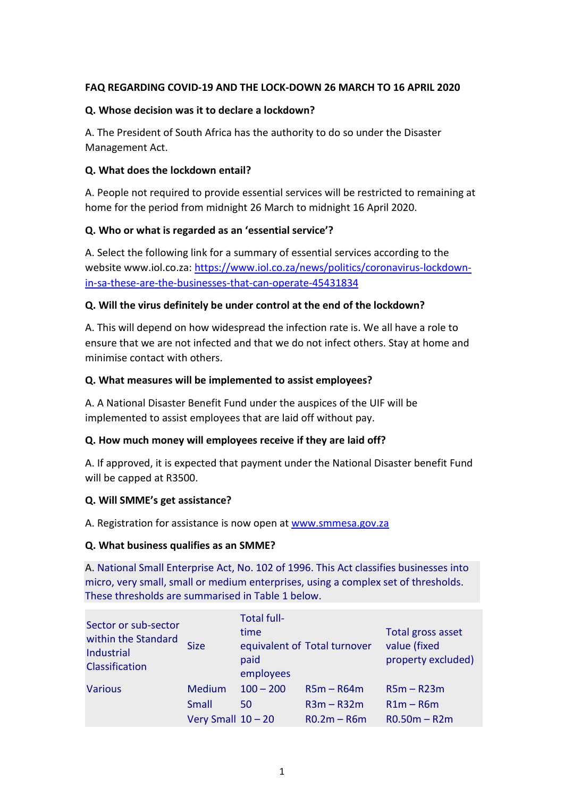# **FAQ REGARDING COVID-19 AND THE LOCK-DOWN 26 MARCH TO 16 APRIL 2020**

## **Q. Whose decision was it to declare a lockdown?**

A. The President of South Africa has the authority to do so under the Disaster Management Act.

# **Q. What does the lockdown entail?**

A. People not required to provide essential services will be restricted to remaining at home for the period from midnight 26 March to midnight 16 April 2020.

# **Q. Who or what is regarded as an 'essential service'?**

A. Select the following link for a summary of essential services according to the website www.iol.co.za: [https://www.iol.co.za/news/politics/coronavirus-lockdown](https://www.iol.co.za/news/politics/coronavirus-lockdown-in-sa-these-are-the-businesses-that-can-operate-45431834)[in-sa-these-are-the-businesses-that-can-operate-45431834](https://www.iol.co.za/news/politics/coronavirus-lockdown-in-sa-these-are-the-businesses-that-can-operate-45431834)

# **Q. Will the virus definitely be under control at the end of the lockdown?**

A. This will depend on how widespread the infection rate is. We all have a role to ensure that we are not infected and that we do not infect others. Stay at home and minimise contact with others.

## **Q. What measures will be implemented to assist employees?**

A. A National Disaster Benefit Fund under the auspices of the UIF will be implemented to assist employees that are laid off without pay.

## **Q. How much money will employees receive if they are laid off?**

A. If approved, it is expected that payment under the National Disaster benefit Fund will be capped at R3500.

## **Q. Will SMME's get assistance?**

A. Registration for assistance is now open a[t www.smmesa.gov.za](http://www.smmesa.gov.za/)

## **Q. What business qualifies as an SMME?**

A. National Small Enterprise Act, No. 102 of 1996. This Act classifies businesses into micro, very small, small or medium enterprises, using a complex set of thresholds. These thresholds are summarised in Table 1 below.

| Sector or sub-sector<br>within the Standard<br>Industrial<br>Classification | <b>Size</b>          | <b>Total full-</b><br>time<br>paid<br>employees | equivalent of Total turnover | Total gross asset<br>value (fixed<br>property excluded) |
|-----------------------------------------------------------------------------|----------------------|-------------------------------------------------|------------------------------|---------------------------------------------------------|
| <b>Various</b>                                                              | Medium               | $100 - 200$                                     | $R5m - R64m$                 | $R5m - R23m$                                            |
|                                                                             | Small                | 50                                              | $R3m - R32m$                 | $R1m - R6m$                                             |
|                                                                             | Very Small $10 - 20$ |                                                 | $R0.2m - R6m$                | $R0.50m - R2m$                                          |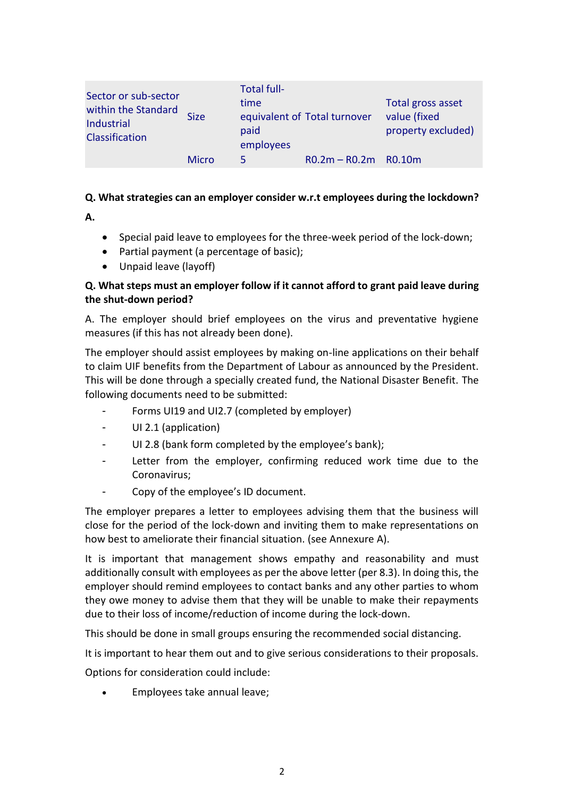| Sector or sub-sector<br>within the Standard<br>Industrial<br>Classification | <b>Size</b>  | <b>Total full-</b><br>time<br>paid<br>employees | equivalent of Total turnover | Total gross asset<br>value (fixed<br>property excluded) |
|-----------------------------------------------------------------------------|--------------|-------------------------------------------------|------------------------------|---------------------------------------------------------|
|                                                                             | <b>Micro</b> | 5.                                              | $R0.2m - R0.2m$ R0.10m       |                                                         |

# **Q. What strategies can an employer consider w.r.t employees during the lockdown?**

**A.**

- Special paid leave to employees for the three-week period of the lock-down;
- Partial payment (a percentage of basic);
- Unpaid leave (layoff)

# **Q. What steps must an employer follow if it cannot afford to grant paid leave during the shut-down period?**

A. The employer should brief employees on the virus and preventative hygiene measures (if this has not already been done).

The employer should assist employees by making on-line applications on their behalf to claim UIF benefits from the Department of Labour as announced by the President. This will be done through a specially created fund, the National Disaster Benefit. The following documents need to be submitted:

- Forms UI19 and UI2.7 (completed by employer)
- UI 2.1 (application)
- UI 2.8 (bank form completed by the employee's bank);
- Letter from the employer, confirming reduced work time due to the Coronavirus;
- Copy of the employee's ID document.

The employer prepares a letter to employees advising them that the business will close for the period of the lock-down and inviting them to make representations on how best to ameliorate their financial situation. (see Annexure A).

It is important that management shows empathy and reasonability and must additionally consult with employees as per the above letter (per 8.3). In doing this, the employer should remind employees to contact banks and any other parties to whom they owe money to advise them that they will be unable to make their repayments due to their loss of income/reduction of income during the lock-down.

This should be done in small groups ensuring the recommended social distancing.

It is important to hear them out and to give serious considerations to their proposals.

Options for consideration could include:

• Employees take annual leave;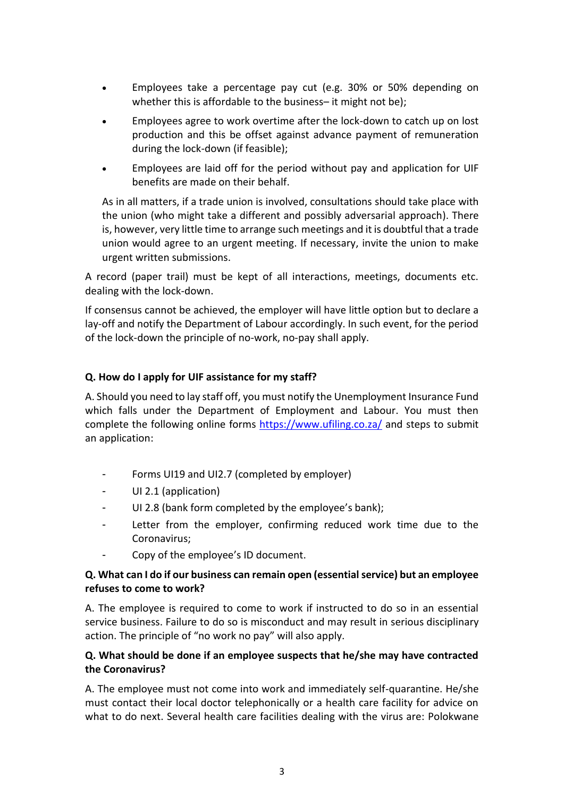- Employees take a percentage pay cut (e.g. 30% or 50% depending on whether this is affordable to the business– it might not be);
- Employees agree to work overtime after the lock-down to catch up on lost production and this be offset against advance payment of remuneration during the lock-down (if feasible);
- Employees are laid off for the period without pay and application for UIF benefits are made on their behalf.

As in all matters, if a trade union is involved, consultations should take place with the union (who might take a different and possibly adversarial approach). There is, however, very little time to arrange such meetings and it is doubtful that a trade union would agree to an urgent meeting. If necessary, invite the union to make urgent written submissions.

A record (paper trail) must be kept of all interactions, meetings, documents etc. dealing with the lock-down.

If consensus cannot be achieved, the employer will have little option but to declare a lay-off and notify the Department of Labour accordingly. In such event, for the period of the lock-down the principle of no-work, no-pay shall apply.

# **Q. How do I apply for UIF assistance for my staff?**

A. Should you need to lay staff off, you must notify the Unemployment Insurance Fund which falls under the Department of Employment and Labour. You must then complete the following online forms<https://www.ufiling.co.za/> and steps to submit an application:

- Forms UI19 and UI2.7 (completed by employer)
- UI 2.1 (application)
- UI 2.8 (bank form completed by the employee's bank);
- Letter from the employer, confirming reduced work time due to the Coronavirus;
- Copy of the employee's ID document.

# **Q. What can I do if our business can remain open (essential service) but an employee refuses to come to work?**

A. The employee is required to come to work if instructed to do so in an essential service business. Failure to do so is misconduct and may result in serious disciplinary action. The principle of "no work no pay" will also apply.

# **Q. What should be done if an employee suspects that he/she may have contracted the Coronavirus?**

A. The employee must not come into work and immediately self-quarantine. He/she must contact their local doctor telephonically or a health care facility for advice on what to do next. Several health care facilities dealing with the virus are: Polokwane